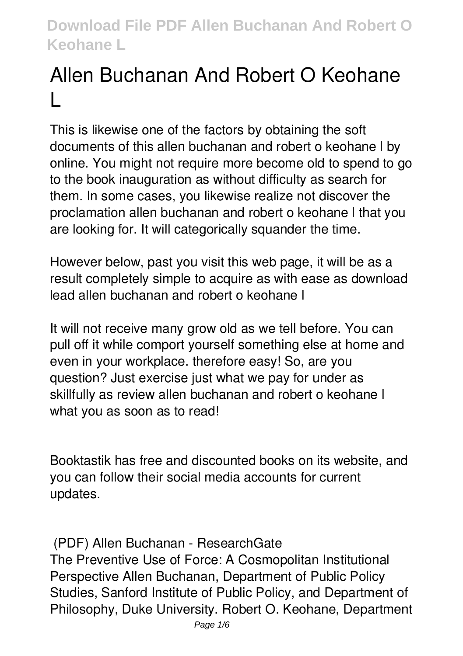# **Allen Buchanan And Robert O Keohane L**

This is likewise one of the factors by obtaining the soft documents of this **allen buchanan and robert o keohane l** by online. You might not require more become old to spend to go to the book inauguration as without difficulty as search for them. In some cases, you likewise realize not discover the proclamation allen buchanan and robert o keohane l that you are looking for. It will categorically squander the time.

However below, past you visit this web page, it will be as a result completely simple to acquire as with ease as download lead allen buchanan and robert o keohane l

It will not receive many grow old as we tell before. You can pull off it while comport yourself something else at home and even in your workplace. therefore easy! So, are you question? Just exercise just what we pay for under as skillfully as review **allen buchanan and robert o keohane l** what you as soon as to read!

Booktastik has free and discounted books on its website, and you can follow their social media accounts for current updates.

**(PDF) Allen Buchanan - ResearchGate**

The Preventive Use of Force: A Cosmopolitan Institutional Perspective Allen Buchanan, Department of Public Policy Studies, Sanford Institute of Public Policy, and Department of Philosophy, Duke University. Robert O. Keohane, Department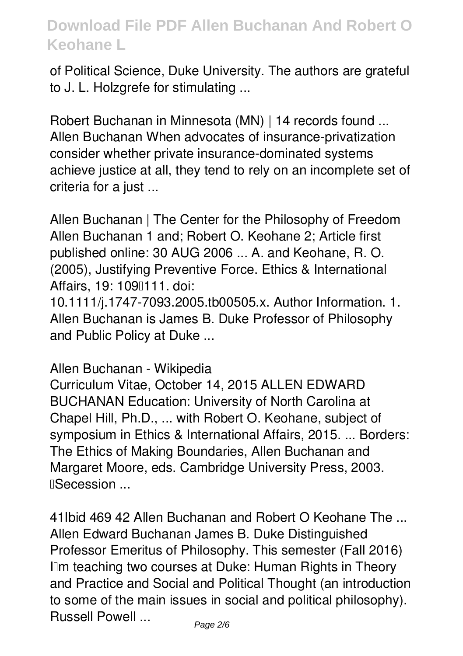of Political Science, Duke University. The authors are grateful to J. L. Holzgrefe for stimulating ...

**Robert Buchanan in Minnesota (MN) | 14 records found ...** Allen Buchanan When advocates of insurance-privatization consider whether private insurance-dominated systems achieve justice at all, they tend to rely on an incomplete set of criteria for a just ...

**Allen Buchanan | The Center for the Philosophy of Freedom** Allen Buchanan 1 and; Robert O. Keohane 2; Article first published online: 30 AUG 2006 ... A. and Keohane, R. O. (2005), Justifying Preventive Force. Ethics & International Affairs, 19: 1090111. doi:

10.1111/j.1747-7093.2005.tb00505.x. Author Information. 1. Allen Buchanan is James B. Duke Professor of Philosophy and Public Policy at Duke ...

**Allen Buchanan - Wikipedia**

Curriculum Vitae, October 14, 2015 ALLEN EDWARD BUCHANAN Education: University of North Carolina at Chapel Hill, Ph.D., ... with Robert O. Keohane, subject of symposium in Ethics & International Affairs, 2015. ... Borders: The Ethics of Making Boundaries, Allen Buchanan and Margaret Moore, eds. Cambridge University Press, 2003. **I**Secession ...

**41Ibid 469 42 Allen Buchanan and Robert O Keohane The ...** Allen Edward Buchanan James B. Duke Distinguished Professor Emeritus of Philosophy. This semester (Fall 2016) IIm teaching two courses at Duke: Human Rights in Theory and Practice and Social and Political Thought (an introduction to some of the main issues in social and political philosophy). Russell Powell ...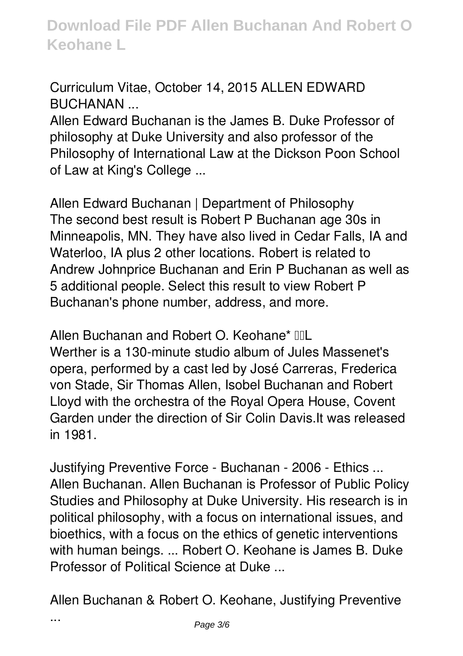**Curriculum Vitae, October 14, 2015 ALLEN EDWARD BUCHANAN ...**

Allen Edward Buchanan is the James B. Duke Professor of philosophy at Duke University and also professor of the Philosophy of International Law at the Dickson Poon School of Law at King's College ...

**Allen Edward Buchanan | Department of Philosophy** The second best result is Robert P Buchanan age 30s in Minneapolis, MN. They have also lived in Cedar Falls, IA and Waterloo, IA plus 2 other locations. Robert is related to Andrew Johnprice Buchanan and Erin P Buchanan as well as 5 additional people. Select this result to view Robert P Buchanan's phone number, address, and more.

Allen Buchanan and Robert O. Keohane<sup>\*</sup> IIL Werther is a 130-minute studio album of Jules Massenet's opera, performed by a cast led by José Carreras, Frederica von Stade, Sir Thomas Allen, Isobel Buchanan and Robert Lloyd with the orchestra of the Royal Opera House, Covent Garden under the direction of Sir Colin Davis.It was released in 1981.

**Justifying Preventive Force - Buchanan - 2006 - Ethics ...** Allen Buchanan. Allen Buchanan is Professor of Public Policy Studies and Philosophy at Duke University. His research is in political philosophy, with a focus on international issues, and bioethics, with a focus on the ethics of genetic interventions with human beings. ... Robert O. Keohane is James B. Duke Professor of Political Science at Duke ...

**Allen Buchanan & Robert O. Keohane, Justifying Preventive**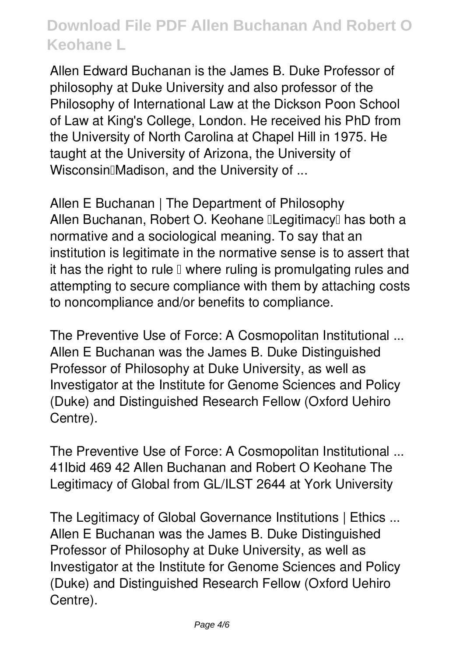Allen Edward Buchanan is the James B. Duke Professor of philosophy at Duke University and also professor of the Philosophy of International Law at the Dickson Poon School of Law at King's College, London. He received his PhD from the University of North Carolina at Chapel Hill in 1975. He taught at the University of Arizona, the University of Wisconsin<sup>[]</sup>Madison, and the University of ...

**Allen E Buchanan | The Department of Philosophy** Allen Buchanan, Robert O. Keohane **ILegitimacy** has both a normative and a sociological meaning. To say that an institution is legitimate in the normative sense is to assert that it has the right to rule  $\square$  where ruling is promulgating rules and attempting to secure compliance with them by attaching costs to noncompliance and/or benefits to compliance.

**The Preventive Use of Force: A Cosmopolitan Institutional ...** Allen E Buchanan was the James B. Duke Distinguished Professor of Philosophy at Duke University, as well as Investigator at the Institute for Genome Sciences and Policy (Duke) and Distinguished Research Fellow (Oxford Uehiro Centre).

**The Preventive Use of Force: A Cosmopolitan Institutional ...** 41Ibid 469 42 Allen Buchanan and Robert O Keohane The Legitimacy of Global from GL/ILST 2644 at York University

**The Legitimacy of Global Governance Institutions | Ethics ...** Allen E Buchanan was the James B. Duke Distinguished Professor of Philosophy at Duke University, as well as Investigator at the Institute for Genome Sciences and Policy (Duke) and Distinguished Research Fellow (Oxford Uehiro Centre).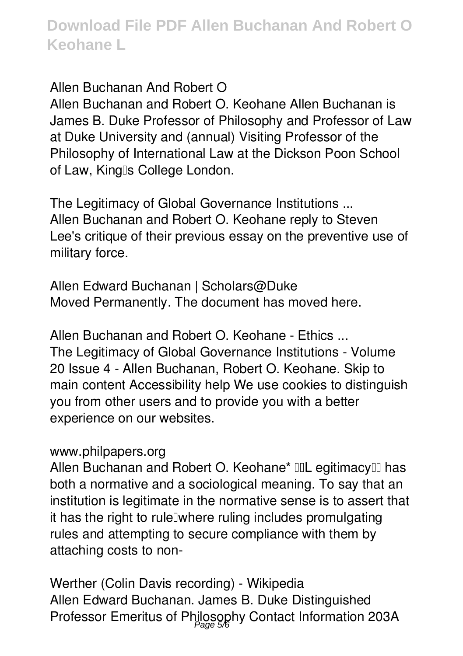**Allen Buchanan And Robert O**

Allen Buchanan and Robert O. Keohane Allen Buchanan is James B. Duke Professor of Philosophy and Professor of Law at Duke University and (annual) Visiting Professor of the Philosophy of International Law at the Dickson Poon School of Law, King's College London.

**The Legitimacy of Global Governance Institutions ...** Allen Buchanan and Robert O. Keohane reply to Steven Lee's critique of their previous essay on the preventive use of military force.

**Allen Edward Buchanan | Scholars@Duke** Moved Permanently. The document has moved here.

**Allen Buchanan and Robert O. Keohane - Ethics ...** The Legitimacy of Global Governance Institutions - Volume 20 Issue 4 - Allen Buchanan, Robert O. Keohane. Skip to main content Accessibility help We use cookies to distinguish you from other users and to provide you with a better experience on our websites.

#### **www.philpapers.org**

Allen Buchanan and Robert O. Keohane\* IIL egitimacyIII has both a normative and a sociological meaning. To say that an institution is legitimate in the normative sense is to assert that it has the right to rule undere ruling includes promulgating rules and attempting to secure compliance with them by attaching costs to non-

**Werther (Colin Davis recording) - Wikipedia** Allen Edward Buchanan. James B. Duke Distinguished Professor Emeritus of Philosophy Contact Information 203A Page 5/6